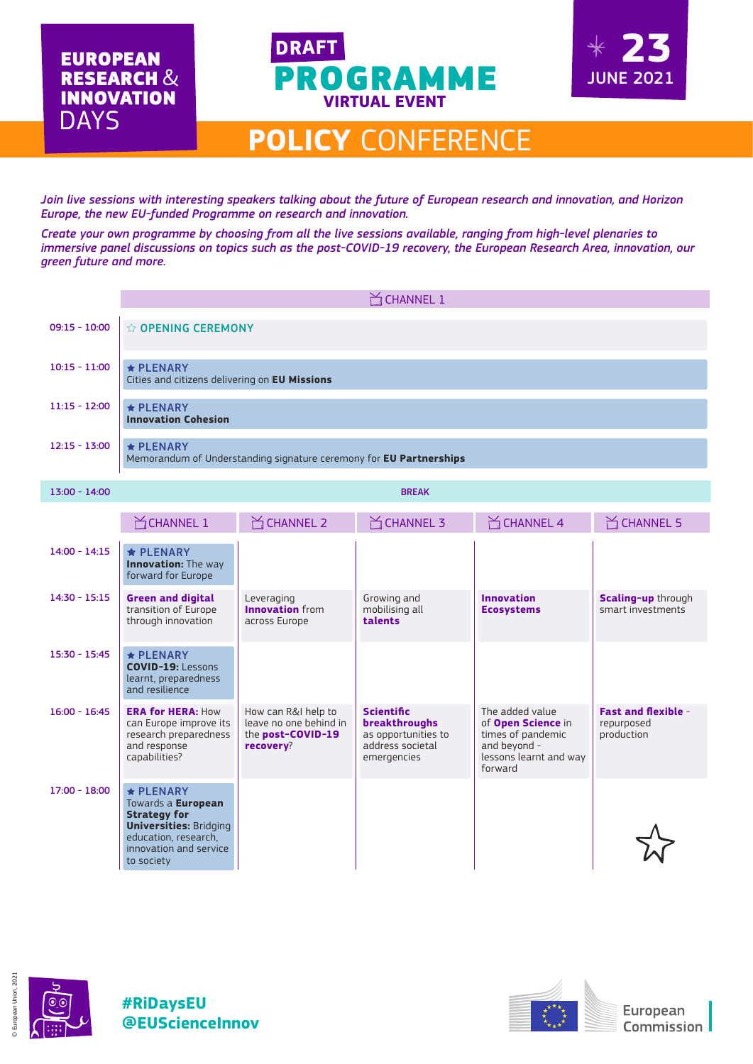



## **POLICY** CONFERENCE

*Join live sessions with interesting speakers talking about the future of European research and innovation, and Horizon Europe, the new EU-funded Programme on research and innovation.* 

*Create your own programme by choosing from all the live sessions available, ranging from high-level plenaries to immersive panel discussions on topics such as the post-COVID-19 recovery, the European Research Area, innovation, our green future and more.*

|                 | $M$ CHANNEL 1                                                                                                                                                 |                                                                                 |                                                                                              |                                                                                                                 |                                                        |  |  |  |
|-----------------|---------------------------------------------------------------------------------------------------------------------------------------------------------------|---------------------------------------------------------------------------------|----------------------------------------------------------------------------------------------|-----------------------------------------------------------------------------------------------------------------|--------------------------------------------------------|--|--|--|
| $09:15 - 10:00$ | ☆ OPENING CEREMONY                                                                                                                                            |                                                                                 |                                                                                              |                                                                                                                 |                                                        |  |  |  |
| $10:15 - 11:00$ | $\star$ PLENARY<br>Cities and citizens delivering on EU Missions                                                                                              |                                                                                 |                                                                                              |                                                                                                                 |                                                        |  |  |  |
| $11:15 - 12:00$ | $\star$ PLENARY<br><b>Innovation Cohesion</b>                                                                                                                 |                                                                                 |                                                                                              |                                                                                                                 |                                                        |  |  |  |
| $12:15 - 13:00$ | $\star$ PLENARY<br>Memorandum of Understanding signature ceremony for EU Partnerships                                                                         |                                                                                 |                                                                                              |                                                                                                                 |                                                        |  |  |  |
| $13:00 - 14:00$ | <b>BREAK</b>                                                                                                                                                  |                                                                                 |                                                                                              |                                                                                                                 |                                                        |  |  |  |
|                 | $M$ CHANNEL 1                                                                                                                                                 | $M$ CHANNEL 2                                                                   | $\mathbb{M}$ CHANNEL 3                                                                       | $M$ CHANNEL 4                                                                                                   | $M$ CHANNEL 5                                          |  |  |  |
| $14:00 - 14:15$ | <b>★ PLENARY</b><br><b>Innovation:</b> The way<br>forward for Europe                                                                                          |                                                                                 |                                                                                              |                                                                                                                 |                                                        |  |  |  |
| $14:30 - 15:15$ | <b>Green and digital</b><br>transition of Europe<br>through innovation                                                                                        | Leveraging<br><b>Innovation</b> from<br>across Europe                           | Growing and<br>mobilising all<br>talents                                                     | <b>Innovation</b><br><b>Ecosystems</b>                                                                          | Scaling-up through<br>smart investments                |  |  |  |
| $15:30 - 15:45$ | $\star$ PLENARY<br><b>COVID-19: Lessons</b><br>learnt, preparedness<br>and resilience                                                                         |                                                                                 |                                                                                              |                                                                                                                 |                                                        |  |  |  |
| $16:00 - 16:45$ | <b>ERA for HERA: How</b><br>can Europe improve its<br>research preparedness<br>and response<br>capabilities?                                                  | How can R&I help to<br>leave no one behind in<br>the post-COVID-19<br>recovery? | <b>Scientific</b><br>breakthroughs<br>as opportunities to<br>address societal<br>emergencies | The added value<br>of Open Science in<br>times of pandemic<br>and beyond -<br>lessons learnt and way<br>forward | <b>Fast and flexible -</b><br>repurposed<br>production |  |  |  |
| $17:00 - 18:00$ | $\star$ PLENARY<br>Towards a European<br><b>Strategy for</b><br><b>Universities: Bridging</b><br>education, research,<br>innovation and service<br>to society |                                                                                 |                                                                                              |                                                                                                                 |                                                        |  |  |  |







European **Commission**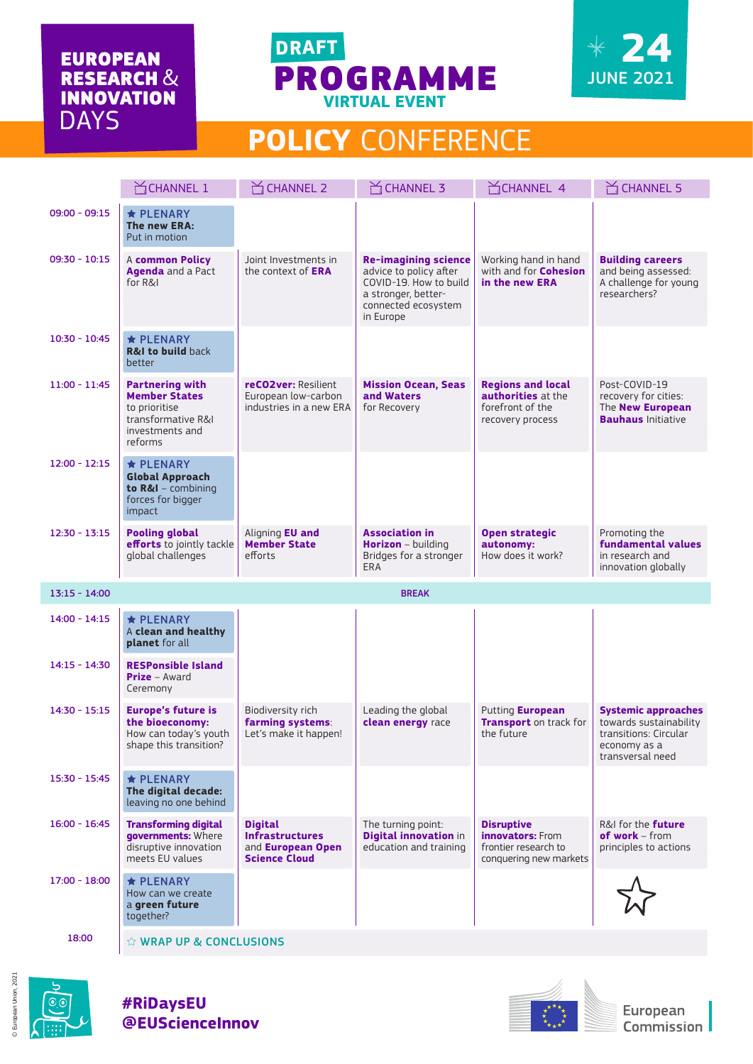### **EUROPEAN RESEARCH & INNOVATION DAYS**





# **POLICY** CONFERENCE

|                 | CHANNEL 1                                                                                                           | $\sum$ CHANNEL 2                                                                             | $\cong$ CHANNEL 3                                                                                                                          | CHANNEL 4                                                                                      | $\sum$ CHANNEL 5                                                                                                  |
|-----------------|---------------------------------------------------------------------------------------------------------------------|----------------------------------------------------------------------------------------------|--------------------------------------------------------------------------------------------------------------------------------------------|------------------------------------------------------------------------------------------------|-------------------------------------------------------------------------------------------------------------------|
| $09:00 - 09:15$ | $\star$ PLENARY<br>The new ERA:<br>Put in motion                                                                    |                                                                                              |                                                                                                                                            |                                                                                                |                                                                                                                   |
| $09:30 - 10:15$ | A common Policy<br><b>Agenda</b> and a Pact<br>for R&I                                                              | Joint Investments in<br>the context of <b>ERA</b>                                            | <b>Re-imagining science</b><br>advice to policy after<br>COVID-19. How to build<br>a stronger, better-<br>connected ecosystem<br>in Europe | Working hand in hand<br>with and for <b>Cohesion</b><br>in the new ERA                         | <b>Building careers</b><br>and being assessed:<br>A challenge for young<br>researchers?                           |
| $10:30 - 10:45$ | <b>★ PLENARY</b><br><b>R&amp;I to build back</b><br>better                                                          |                                                                                              |                                                                                                                                            |                                                                                                |                                                                                                                   |
| $11:00 - 11:45$ | <b>Partnering with</b><br><b>Member States</b><br>to prioritise<br>transformative R&I<br>investments and<br>reforms | reCO2ver: Resilient<br>European low-carbon<br>industries in a new ERA                        | <b>Mission Ocean, Seas</b><br>and Waters<br>for Recovery                                                                                   | <b>Regions and local</b><br><b>authorities</b> at the<br>forefront of the<br>recovery process  | Post-COVID-19<br>recovery for cities:<br>The <b>New European</b><br><b>Bauhaus</b> Initiative                     |
| $12:00 - 12:15$ | $\star$ PLENARY<br><b>Global Approach</b><br>to R&I - combining<br>forces for bigger<br>impact                      |                                                                                              |                                                                                                                                            |                                                                                                |                                                                                                                   |
| $12:30 - 13:15$ | <b>Pooling global</b><br>efforts to jointly tackle<br>global challenges                                             | Aligning <b>EU and</b><br><b>Member State</b><br>efforts                                     | <b>Association in</b><br><b>Horizon</b> - building<br>Bridges for a stronger<br><b>ERA</b>                                                 | <b>Open strategic</b><br>autonomy:<br>How does it work?                                        | Promoting the<br><b>fundamental values</b><br>in research and<br>innovation globally                              |
| $13:15 - 14:00$ |                                                                                                                     |                                                                                              | <b>BREAK</b>                                                                                                                               |                                                                                                |                                                                                                                   |
| $14:00 - 14:15$ | $\star$ PLENARY<br>A clean and healthy<br>planet for all                                                            |                                                                                              |                                                                                                                                            |                                                                                                |                                                                                                                   |
| $14:15 - 14:30$ | <b>RESPonsible Island</b><br><b>Prize</b> – Award<br>Ceremony                                                       |                                                                                              |                                                                                                                                            |                                                                                                |                                                                                                                   |
| $14:30 - 15:15$ | <b>Europe's future is</b><br>the bioeconomy:<br>How can today's youth<br>shape this transition?                     | Biodiversity rich<br>farming systems:<br>Let's make it happen!                               | Leading the global<br>clean energy race                                                                                                    | Putting European<br><b>Transport</b> on track for<br>the future                                | <b>Systemic approaches</b><br>towards sustainability<br>transitions: Circular<br>economy as a<br>transversal need |
| $15:30 - 15:45$ | $\bigstar$ PLENARY<br>The digital decade:<br>leaving no one behind                                                  |                                                                                              |                                                                                                                                            |                                                                                                |                                                                                                                   |
| $16:00 - 16:45$ | <b>Transforming digital</b><br>governments: Where<br>disruptive innovation<br>meets EU values                       | <b>Digital</b><br><b>Infrastructures</b><br>and <b>European Open</b><br><b>Science Cloud</b> | The turning point:<br><b>Digital innovation in</b><br>education and training                                                               | <b>Disruptive</b><br><b>innovators:</b> From<br>frontier research to<br>conquering new markets | R&I for the <b>future</b><br>of work - from<br>principles to actions                                              |
| $17:00 - 18:00$ | ★ PLENARY<br>How can we create<br>a green future<br>together?                                                       |                                                                                              |                                                                                                                                            |                                                                                                |                                                                                                                   |
| 10.00           |                                                                                                                     |                                                                                              |                                                                                                                                            |                                                                                                |                                                                                                                   |

18:00  $\angle$   $\hat{X}$  WRAP UP & CONCLUSIONS



© European Union, 2021

European Union, 2021

#### **#RiDaysEU @EUScienceInnov**



European Commission